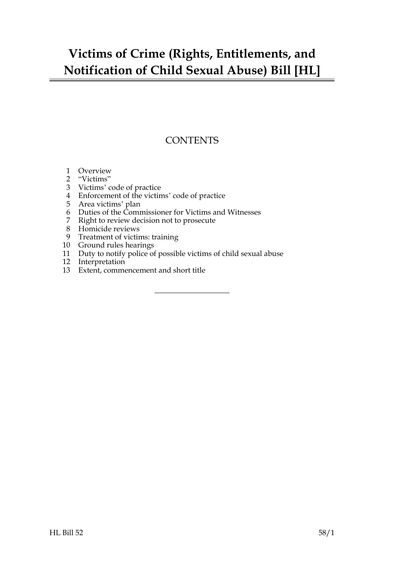### **Victims of Crime (Rights, Entitlements, and Notification of Child Sexual Abuse) Bill [HL]**

### **CONTENTS**

- [Overview](#page-2-0)
- ["Victims"](#page-2-1)
- [Victims' code of practice](#page-3-0)
- [Enforcement of the victims' code of practice](#page-4-0)
- [Area victims' plan](#page-5-0)
- [Duties of the Commissioner for Victims and Witnesses](#page-6-0)
- [Right to review decision not to prosecute](#page-7-0)
- [Homicide reviews](#page-8-0)
- [Treatment of victims: training](#page-9-0)
- [Ground rules hearings](#page-9-1)
- [Duty to notify police of possible victims of child sexual abuse](#page-10-0)
- [Interpretation](#page-11-0)
- [Extent, commencement and short title](#page-11-1)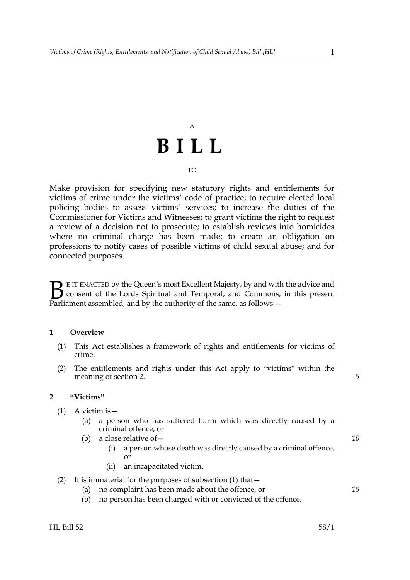# A **BILL**

#### TO

Make provision for specifying new statutory rights and entitlements for victims of crime under the victims' code of practice; to require elected local policing bodies to assess victims' services; to increase the duties of the Commissioner for Victims and Witnesses; to grant victims the right to request a review of a decision not to prosecute; to establish reviews into homicides where no criminal charge has been made; to create an obligation on professions to notify cases of possible victims of child sexual abuse; and for connected purposes.

**BE IT ENACTED by the Queen's most Excellent Majesty, by and with the advice and consent of the Lords Spiritual and Temporal, and Commons, in this present Parliament assembled and by the authority of the same as follows:** consent of the Lords Spiritual and Temporal, and Commons, in this present Parliament assembled, and by the authority of the same, as follows: -

#### <span id="page-2-4"></span><span id="page-2-0"></span>**1 Overview**

- (1) This Act establishes a framework of rights and entitlements for victims of crime.
- (2) The entitlements and rights under this Act apply to "victims" within the meaning of section [2.](#page-2-2)

#### <span id="page-2-2"></span><span id="page-2-1"></span>**2 "Victims"**

- <span id="page-2-3"></span>(1) A victim is—
	- (a) a person who has suffered harm which was directly caused by a criminal offence, or
	- (b) a close relative of—
		- (i) a person whose death was directly caused by a criminal offence, or
		- (ii) an incapacitated victim.

#### (2) It is immaterial for the purposes of subsection [\(1\)](#page-2-3) that—

- (a) no complaint has been made about the offence, or
- (b) no person has been charged with or convicted of the offence.

*15*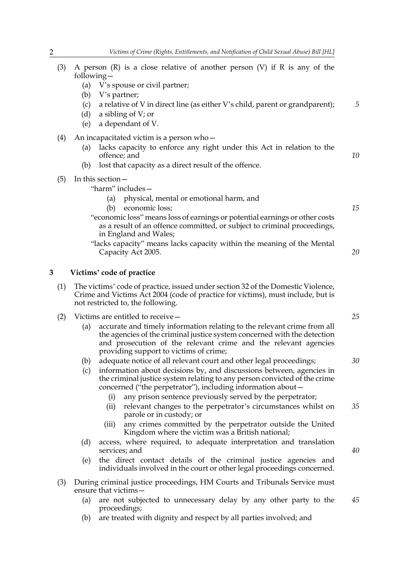- (3) A person  $(R)$  is a close relative of another person  $(V)$  if R is any of the following—
	- (a) V's spouse or civil partner;
	- (b) V's partner;
	- (c) a relative of V in direct line (as either V's child, parent or grandparent);
	- (d) a sibling of V; or
	- (e) a dependant of V.
- (4) An incapacitated victim is a person who—
	- (a) lacks capacity to enforce any right under this Act in relation to the offence; and
	- (b) lost that capacity as a direct result of the offence.
- (5) In this section—
	- "harm" includes—
		- (a) physical, mental or emotional harm, and
		- (b) economic loss;
	- "economic loss" means loss of earnings or potential earnings or other costs as a result of an offence committed, or subject to criminal proceedings, in England and Wales;
	- "lacks capacity" means lacks capacity within the meaning of the Mental Capacity Act 2005.

#### <span id="page-3-0"></span>**3 Victims' code of practice**

- (1) The victims' code of practice, issued under section 32 of the Domestic Violence, Crime and Victims Act 2004 (code of practice for victims), must include, but is not restricted to, the following.
- (2) Victims are entitled to receive
	- accurate and timely information relating to the relevant crime from all the agencies of the criminal justice system concerned with the detection and prosecution of the relevant crime and the relevant agencies providing support to victims of crime;
	- (b) adequate notice of all relevant court and other legal proceedings;
	- (c) information about decisions by, and discussions between, agencies in the criminal justice system relating to any person convicted of the crime concerned ("the perpetrator"), including information about—
		- (i) any prison sentence previously served by the perpetrator;
		- (ii) relevant changes to the perpetrator's circumstances whilst on parole or in custody; or *35*
		- (iii) any crimes committed by the perpetrator outside the United Kingdom where the victim was a British national;
	- (d) access, where required, to adequate interpretation and translation services; and
	- (e) the direct contact details of the criminal justice agencies and individuals involved in the court or other legal proceedings concerned.
- (3) During criminal justice proceedings, HM Courts and Tribunals Service must ensure that victims—
	- (a) are not subjected to unnecessary delay by any other party to the proceedings; *45*
	- (b) are treated with dignity and respect by all parties involved; and

*25*

*5*

*10*

*15*

*20*

*30*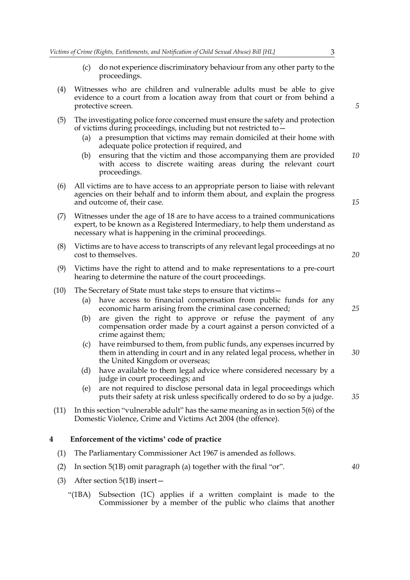- (c) do not experience discriminatory behaviour from any other party to the proceedings.
- (4) Witnesses who are children and vulnerable adults must be able to give evidence to a court from a location away from that court or from behind a protective screen.
- (5) The investigating police force concerned must ensure the safety and protection of victims during proceedings, including but not restricted to—
	- (a) a presumption that victims may remain domiciled at their home with adequate police protection if required, and
	- (b) ensuring that the victim and those accompanying them are provided with access to discrete waiting areas during the relevant court proceedings. *10*
- (6) All victims are to have access to an appropriate person to liaise with relevant agencies on their behalf and to inform them about, and explain the progress and outcome of, their case.
- (7) Witnesses under the age of 18 are to have access to a trained communications expert, to be known as a Registered Intermediary, to help them understand as necessary what is happening in the criminal proceedings.
- (8) Victims are to have access to transcripts of any relevant legal proceedings at no cost to themselves.
- (9) Victims have the right to attend and to make representations to a pre-court hearing to determine the nature of the court proceedings.
- (10) The Secretary of State must take steps to ensure that victims—
	- (a) have access to financial compensation from public funds for any economic harm arising from the criminal case concerned;
	- (b) are given the right to approve or refuse the payment of any compensation order made by a court against a person convicted of a crime against them;
	- (c) have reimbursed to them, from public funds, any expenses incurred by them in attending in court and in any related legal process, whether in the United Kingdom or overseas; *30*
	- (d) have available to them legal advice where considered necessary by a judge in court proceedings; and
	- (e) are not required to disclose personal data in legal proceedings which puts their safety at risk unless specifically ordered to do so by a judge.
- (11) In this section "vulnerable adult" has the same meaning as in section 5(6) of the Domestic Violence, Crime and Victims Act 2004 (the offence).

#### <span id="page-4-0"></span>**4 Enforcement of the victims' code of practice**

- (1) The Parliamentary Commissioner Act 1967 is amended as follows.
- (2) In section 5(1B) omit paragraph (a) together with the final "or".
- <span id="page-4-1"></span>(3) After section 5(1B) insert—
	- "(1BA) Subsection (1C) applies if a written complaint is made to the Commissioner by a member of the public who claims that another

*5*

*15*

*20*

*25*

*35*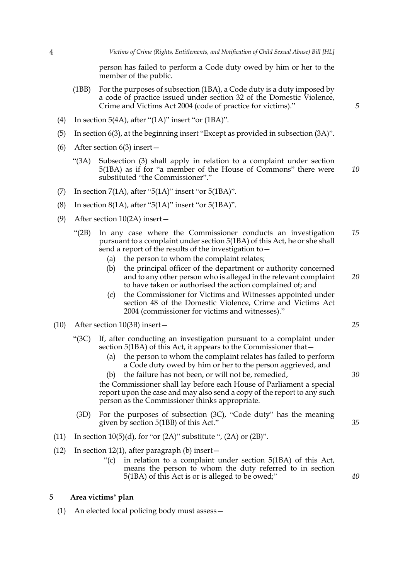person has failed to perform a Code duty owed by him or her to the member of the public.

- <span id="page-5-2"></span>(1BB) For the purposes of subsection [\(1BA\),](#page-4-1) a Code duty is a duty imposed by a code of practice issued under section 32 of the Domestic Violence, Crime and Victims Act 2004 (code of practice for victims)."
- (4) In section  $5(4A)$ , after " $(1A)$ " insert "or  $(1BA)$ ".
- (5) In section 6(3), at the beginning insert "Except as provided in subsection (3A)".
- (6) After section 6(3) insert—
	- "(3A) Subsection (3) shall apply in relation to a complaint under section [5\(1BA\)](#page-4-1) as if for "a member of the House of Commons" there were substituted "the Commissioner"." *10*
- (7) In section  $7(1A)$ , after "5(1A)" insert "or 5[\(1BA\)](#page-4-1)".
- (8) In section 8(1A), after "5(1A)" insert "or 5[\(1BA\)](#page-4-1)".
- <span id="page-5-3"></span>(9) After section 10(2A) insert—
	- "(2B) In any case where the Commissioner conducts an investigation pursuant to a complaint under section [5\(1BA\)](#page-4-1) of this Act, he or she shall send a report of the results of the investigation to— *15*
		- (a) the person to whom the complaint relates;
		- (b) the principal officer of the department or authority concerned and to any other person who is alleged in the relevant complaint to have taken or authorised the action complained of; and
		- (c) the Commissioner for Victims and Witnesses appointed under section 48 of the Domestic Violence, Crime and Victims Act 2004 (commissioner for victims and witnesses)."
- <span id="page-5-1"></span>(10) After section 10(3B) insert—
	- "(3C) If, after conducting an investigation pursuant to a complaint under section [5\(1BA\)](#page-4-1) of this Act, it appears to the Commissioner that—
		- (a) the person to whom the complaint relates has failed to perform a Code duty owed by him or her to the person aggrieved, and

(b) the failure has not been, or will not be, remedied, the Commissioner shall lay before each House of Parliament a special report upon the case and may also send a copy of the report to any such person as the Commissioner thinks appropriate.

- (3D) For the purposes of subsection [\(3C\)](#page-5-1), "Code duty" has the meaning given by section 5[\(1BB\)](#page-5-2) of this Act."
- (11) In section  $10(5)(d)$ , for "or  $(2A)$ " substitute ",  $(2A)$  or  $(2B)$ ".
- (12) In section 12(1), after paragraph (b) insert—
	- "(c) in relation to a complaint under section [5\(1BA\)](#page-4-1) of this Act, means the person to whom the duty referred to in section [5\(1BA\)](#page-4-1) of this Act is or is alleged to be owed;"

#### <span id="page-5-0"></span>**5 Area victims' plan**

(1) An elected local policing body must assess—

*5*

*25*

*20*

*30*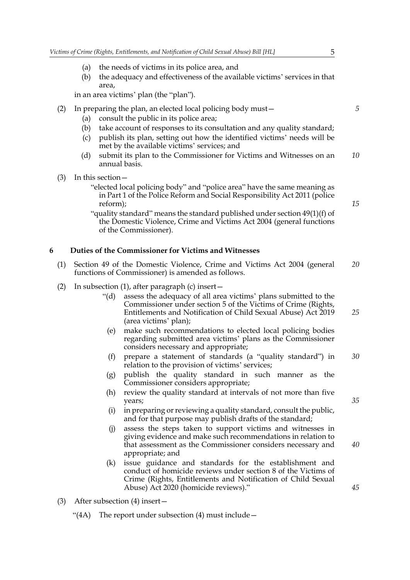- (a) the needs of victims in its police area, and
- (b) the adequacy and effectiveness of the available victims' services in that area,

in an area victims' plan (the "plan").

#### (2) In preparing the plan, an elected local policing body must—

- (a) consult the public in its police area;
- (b) take account of responses to its consultation and any quality standard;
- (c) publish its plan, setting out how the identified victims' needs will be met by the available victims' services; and
- (d) submit its plan to the Commissioner for Victims and Witnesses on an annual basis. *10*
- (3) In this section—
	- "elected local policing body" and "police area" have the same meaning as in Part 1 of the Police Reform and Social Responsibility Act 2011 (police reform);

"quality standard" means the standard published under section 49(1)(f) of the Domestic Violence, Crime and Victims Act 2004 (general functions of the Commissioner).

#### <span id="page-6-0"></span>**6 Duties of the Commissioner for Victims and Witnesses**

- (1) Section 49 of the Domestic Violence, Crime and Victims Act 2004 (general functions of Commissioner) is amended as follows. *20*
- (2) In subsection (1), after paragraph (c) insert—
	- "(d) assess the adequacy of all area victims' plans submitted to the Commissioner under section 5 of the Victims of Crime (Rights, Entitlements and Notification of Child Sexual Abuse) Act 2019 (area victims' plan); *25*
		- (e) make such recommendations to elected local policing bodies regarding submitted area victims' plans as the Commissioner considers necessary and appropriate;
		- (f) prepare a statement of standards (a "quality standard") in relation to the provision of victims' services; *30*
		- (g) publish the quality standard in such manner as the Commissioner considers appropriate;
	- (h) review the quality standard at intervals of not more than five years;
	- (i) in preparing or reviewing a quality standard, consult the public, and for that purpose may publish drafts of the standard;
	- (j) assess the steps taken to support victims and witnesses in giving evidence and make such recommendations in relation to that assessment as the Commissioner considers necessary and appropriate; and
	- (k) issue guidance and standards for the establishment and conduct of homicide reviews under section 8 of the Victims of Crime (Rights, Entitlements and Notification of Child Sexual Abuse) Act 2020 (homicide reviews)."
- (3) After subsection (4) insert—
	- "(4A) The report under subsection (4) must include—

*35*

*40*

*45*

*5*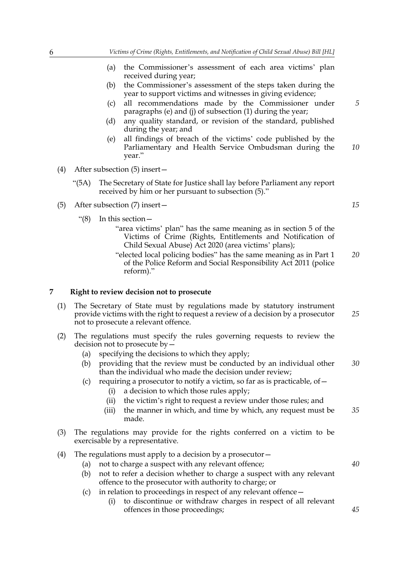- (a) the Commissioner's assessment of each area victims' plan received during year;
- (b) the Commissioner's assessment of the steps taken during the year to support victims and witnesses in giving evidence;
- (c) all recommendations made by the Commissioner under paragraphs (e) and (j) of subsection (1) during the year;
- (d) any quality standard, or revision of the standard, published during the year; and
- (e) all findings of breach of the victims' code published by the Parliamentary and Health Service Ombudsman during the year." *10*
- (4) After subsection (5) insert—
	- "(5A) The Secretary of State for Justice shall lay before Parliament any report received by him or her pursuant to subsection (5)."

(5) After subsection (7) insert—

- "(8) In this section—
	- "area victims' plan" has the same meaning as in section 5 of the Victims of Crime (Rights, Entitlements and Notification of Child Sexual Abuse) Act 2020 (area victims' plans);
	- "elected local policing bodies" has the same meaning as in Part 1 of the Police Reform and Social Responsibility Act 2011 (police reform)." *20*

#### <span id="page-7-0"></span>**7 Right to review decision not to prosecute**

- (1) The Secretary of State must by regulations made by statutory instrument provide victims with the right to request a review of a decision by a prosecutor not to prosecute a relevant offence.
- (2) The regulations must specify the rules governing requests to review the decision not to prosecute by—
	- (a) specifying the decisions to which they apply;
	- (b) providing that the review must be conducted by an individual other than the individual who made the decision under review; *30*
	- (c) requiring a prosecutor to notify a victim, so far as is practicable, of  $-$ 
		- (i) a decision to which those rules apply;
		- (ii) the victim's right to request a review under those rules; and
		- (iii) the manner in which, and time by which, any request must be made. *35*
- (3) The regulations may provide for the rights conferred on a victim to be exercisable by a representative.
- (4) The regulations must apply to a decision by a prosecutor—
	- (a) not to charge a suspect with any relevant offence;
	- (b) not to refer a decision whether to charge a suspect with any relevant offence to the prosecutor with authority to charge; or
	- (c) in relation to proceedings in respect of any relevant offence—
		- (i) to discontinue or withdraw charges in respect of all relevant offences in those proceedings;

*5*

*25*

*40*

*45*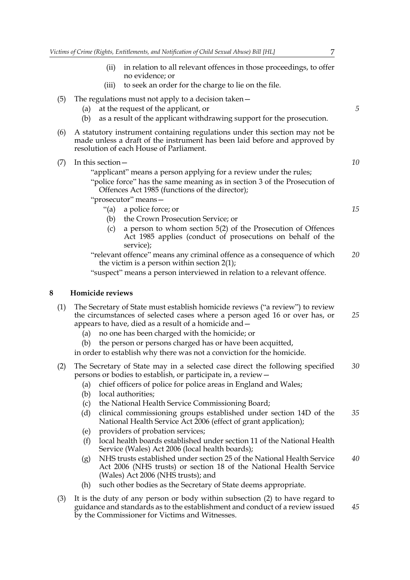- (ii) in relation to all relevant offences in those proceedings, to offer no evidence; or
- (iii) to seek an order for the charge to lie on the file.
- (5) The regulations must not apply to a decision taken—
	- (a) at the request of the applicant, or
	- (b) as a result of the applicant withdrawing support for the prosecution.
- (6) A statutory instrument containing regulations under this section may not be made unless a draft of the instrument has been laid before and approved by resolution of each House of Parliament.

| In this section—                                                                                                            |  |
|-----------------------------------------------------------------------------------------------------------------------------|--|
| "applicant" means a person applying for a review under the rules;                                                           |  |
| "police force" has the same meaning as in section 3 of the Prosecution of<br>Offences Act 1985 (functions of the director); |  |
| "prosecutor" means -                                                                                                        |  |
| "(a) a police force; or                                                                                                     |  |

- (b) the Crown Prosecution Service; or
- (c) a person to whom section 5(2) of the Prosecution of Offences Act 1985 applies (conduct of prosecutions on behalf of the service);
- "relevant offence" means any criminal offence as a consequence of which the victim is a person within section [2](#page-2-2)[\(1\)](#page-2-3); *20*

"suspect" means a person interviewed in relation to a relevant offence.

#### <span id="page-8-0"></span>**8 Homicide reviews**

 $(7)$ 

(1) The Secretary of State must establish homicide reviews ("a review") to review the circumstances of selected cases where a person aged 16 or over has, or appears to have, died as a result of a homicide and— *25*

- (a) no one has been charged with the homicide; or
- (b) the person or persons charged has or have been acquitted,

in order to establish why there was not a conviction for the homicide.

- <span id="page-8-1"></span>(2) The Secretary of State may in a selected case direct the following specified persons or bodies to establish, or participate in, a review— *30*
	- (a) chief officers of police for police areas in England and Wales;
	- (b) local authorities;
	- (c) the National Health Service Commissioning Board;
	- (d) clinical commissioning groups established under section 14D of the National Health Service Act 2006 (effect of grant application); *35*
	- (e) providers of probation services;
	- (f) local health boards established under section 11 of the National Health Service (Wales) Act 2006 (local health boards);
	- (g) NHS trusts established under section 25 of the National Health Service Act 2006 (NHS trusts) or section 18 of the National Health Service (Wales) Act 2006 (NHS trusts); and *40*
	- (h) such other bodies as the Secretary of State deems appropriate.
- (3) It is the duty of any person or body within subsection [\(2\)](#page-8-1) to have regard to guidance and standards as to the establishment and conduct of a review issued by the Commissioner for Victims and Witnesses. *45*

*5*

*10*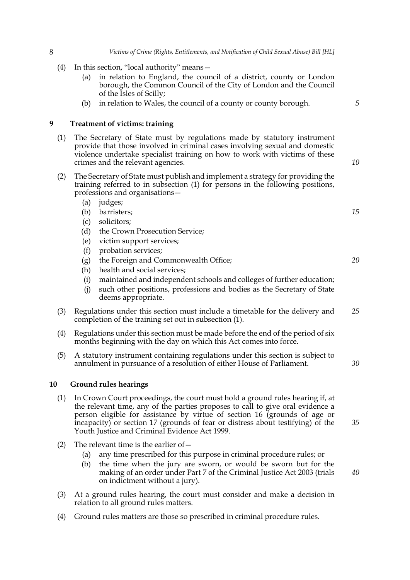- (4) In this section, "local authority" means—
	- (a) in relation to England, the council of a district, county or London borough, the Common Council of the City of London and the Council of the Isles of Scilly;
	- (b) in relation to Wales, the council of a county or county borough.

#### <span id="page-9-0"></span>**9 Treatment of victims: training**

- <span id="page-9-2"></span>(1) The Secretary of State must by regulations made by statutory instrument provide that those involved in criminal cases involving sexual and domestic violence undertake specialist training on how to work with victims of these crimes and the relevant agencies.
- (2) The Secretary of State must publish and implement a strategy for providing the training referred to in subsection [\(1\)](#page-9-2) for persons in the following positions, professions and organisations—
	- (a) judges;
	- (b) barristers;
	- (c) solicitors;
	- (d) the Crown Prosecution Service;
	- (e) victim support services;
	- (f) probation services;
	- (g) the Foreign and Commonwealth Office;
	- (h) health and social services;
	- (i) maintained and independent schools and colleges of further education;
	- (j) such other positions, professions and bodies as the Secretary of State deems appropriate.
- (3) Regulations under this section must include a timetable for the delivery and completion of the training set out in subsection [\(1\).](#page-9-2) *25*
- (4) Regulations under this section must be made before the end of the period of six months beginning with the day on which this Act comes into force.
- (5) A statutory instrument containing regulations under this section is subject to annulment in pursuance of a resolution of either House of Parliament.

#### <span id="page-9-1"></span>**10 Ground rules hearings**

- (1) In Crown Court proceedings, the court must hold a ground rules hearing if, at the relevant time, any of the parties proposes to call to give oral evidence a person eligible for assistance by virtue of section 16 (grounds of age or incapacity) or section 17 (grounds of fear or distress about testifying) of the Youth Justice and Criminal Evidence Act 1999.
- (2) The relevant time is the earlier of  $-$ 
	- (a) any time prescribed for this purpose in criminal procedure rules; or
	- (b) the time when the jury are sworn, or would be sworn but for the making of an order under Part 7 of the Criminal Justice Act 2003 (trials on indictment without a jury).
- (3) At a ground rules hearing, the court must consider and make a decision in relation to all ground rules matters.
- (4) Ground rules matters are those so prescribed in criminal procedure rules.

*15*

*10*

*5*

*20*

*30*

*40*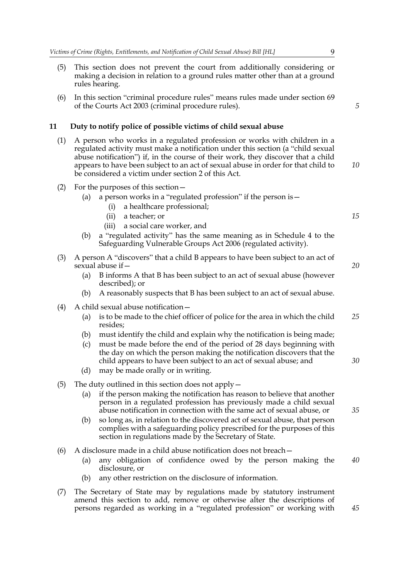- (5) This section does not prevent the court from additionally considering or making a decision in relation to a ground rules matter other than at a ground rules hearing.
- (6) In this section "criminal procedure rules" means rules made under section 69 of the Courts Act 2003 (criminal procedure rules).

#### <span id="page-10-0"></span>**11 Duty to notify police of possible victims of child sexual abuse**

- (1) A person who works in a regulated profession or works with children in a regulated activity must make a notification under this section (a "child sexual abuse notification") if, in the course of their work, they discover that a child appears to have been subject to an act of sexual abuse in order for that child to be considered a victim under section [2](#page-2-2) of this Act.
- (2) For the purposes of this section—
	- (a) a person works in a "regulated profession" if the person is  $$ 
		- a healthcare professional;
		- (ii) a teacher; or
		- (iii) a social care worker, and
	- (b) a "regulated activity" has the same meaning as in Schedule 4 to the Safeguarding Vulnerable Groups Act 2006 (regulated activity).
- (3) A person A "discovers" that a child B appears to have been subject to an act of sexual abuse if—
	- (a) B informs A that B has been subject to an act of sexual abuse (however described); or
	- (b) A reasonably suspects that B has been subject to an act of sexual abuse.
- (4) A child sexual abuse notification—
	- (a) is to be made to the chief officer of police for the area in which the child resides; *25*
	- (b) must identify the child and explain why the notification is being made;
	- (c) must be made before the end of the period of 28 days beginning with the day on which the person making the notification discovers that the child appears to have been subject to an act of sexual abuse; and
	- (d) may be made orally or in writing.
- (5) The duty outlined in this section does not apply—
	- (a) if the person making the notification has reason to believe that another person in a regulated profession has previously made a child sexual abuse notification in connection with the same act of sexual abuse, or
	- (b) so long as, in relation to the discovered act of sexual abuse, that person complies with a safeguarding policy prescribed for the purposes of this section in regulations made by the Secretary of State.
- (6) A disclosure made in a child abuse notification does not breach—
	- (a) any obligation of confidence owed by the person making the disclosure, or *40*
	- (b) any other restriction on the disclosure of information.
- (7) The Secretary of State may by regulations made by statutory instrument amend this section to add, remove or otherwise alter the descriptions of persons regarded as working in a "regulated profession" or working with

*35*

*30*

*45*

*5*

*10*

*15*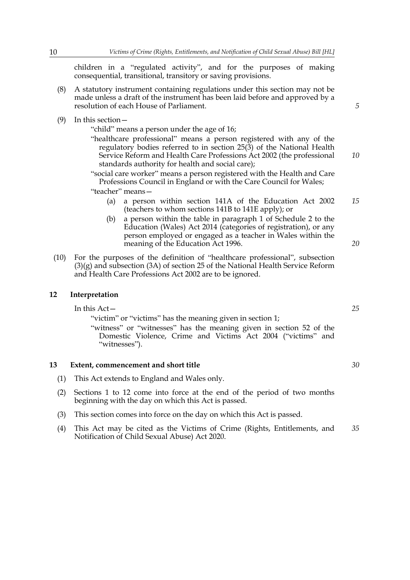children in a "regulated activity", and for the purposes of making consequential, transitional, transitory or saving provisions.

- (8) A statutory instrument containing regulations under this section may not be made unless a draft of the instrument has been laid before and approved by a resolution of each House of Parliament.
- (9) In this section—
	- "child" means a person under the age of 16;

"healthcare professional" means a person registered with any of the regulatory bodies referred to in section 25(3) of the National Health Service Reform and Health Care Professions Act 2002 (the professional standards authority for health and social care);

"social care worker" means a person registered with the Health and Care Professions Council in England or with the Care Council for Wales;

"teacher" means—

- (a) a person within section 141A of the Education Act 2002 (teachers to whom sections 141B to 141E apply); or *15*
- (b) a person within the table in paragraph 1 of Schedule 2 to the Education (Wales) Act 2014 (categories of registration), or any person employed or engaged as a teacher in Wales within the meaning of the Education Act 1996.
- (10) For the purposes of the definition of "healthcare professional", subsection (3)(g) and subsection (3A) of section 25 of the National Health Service Reform and Health Care Professions Act 2002 are to be ignored.

#### <span id="page-11-2"></span>**12 Interpretation**

<span id="page-11-0"></span>In this Act—

"victim" or "victims" has the meaning given in section [1](#page-2-4);

"witness" or "witnesses" has the meaning given in section 52 of the Domestic Violence, Crime and Victims Act 2004 ("victims" and "witnesses").

#### <span id="page-11-1"></span>**13 Extent, commencement and short title**

- (1) This Act extends to England and Wales only.
- (2) Sections [1](#page-2-4) to [12](#page-11-2) come into force at the end of the period of two months beginning with the day on which this Act is passed.
- (3) This section comes into force on the day on which this Act is passed.
- (4) This Act may be cited as the Victims of Crime (Rights, Entitlements, and Notification of Child Sexual Abuse) Act 2020. *35*

*20*

*5*

*10*

*25*